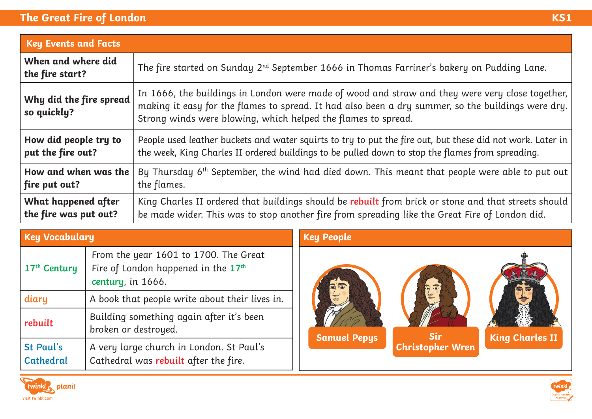## **The Great Fire of London**

|                                              | ٠<br>e e | ٠                      |
|----------------------------------------------|----------|------------------------|
|                                              |          |                        |
| a sa salah sahiji désa di kacamatan Sulawesi |          | <b>Service Service</b> |
|                                              |          |                        |

| <b>Key Events and Facts</b>            |                                                                                                                                                                                                                                                                          |  |
|----------------------------------------|--------------------------------------------------------------------------------------------------------------------------------------------------------------------------------------------------------------------------------------------------------------------------|--|
| When and where did<br>the fire start?  | The fire started on Sunday 2 <sup>nd</sup> September 1666 in Thomas Farriner's bakery on Pudding Lane.                                                                                                                                                                   |  |
| Why did the fire spread<br>so quickly? | In 1666, the buildings in London were made of wood and straw and they were very close together,  <br>making it easy for the flames to spread. It had also been a dry summer, so the buildings were dry.<br>Strong winds were blowing, which helped the flames to spread. |  |
| How did people try to                  | People used leather buckets and water squirts to try to put the fire out, but these did not work. Later in                                                                                                                                                               |  |
| put the fire out?                      | the week, King Charles II ordered buildings to be pulled down to stop the flames from spreading.                                                                                                                                                                         |  |
| How and when was the                   | By Thursday 6 <sup>th</sup> September, the wind had died down. This meant that people were able to put out                                                                                                                                                               |  |
| fire put out?                          | the flames.                                                                                                                                                                                                                                                              |  |
| What happened after                    | King Charles II ordered that buildings should be rebuilt from brick or stone and that streets should                                                                                                                                                                     |  |
| the fire was put out?                  | be made wider. This was to stop another fire from spreading like the Great Fire of London did.                                                                                                                                                                           |  |

| <b>Key Vocabulary</b>                |                                                                                                               |  |
|--------------------------------------|---------------------------------------------------------------------------------------------------------------|--|
| 17 <sup>th</sup> Century             | From the year 1601 to 1700. The Great<br>Fire of London happened in the 17 <sup>th</sup><br>century, in 1666. |  |
| diary                                | A book that people write about their lives in.                                                                |  |
| rebuilt                              | Building something again after it's been<br>broken or destroyed.                                              |  |
| <b>St Paul's</b><br><b>Cathedral</b> | A very large church in London. St Paul's<br>Cathedral was rebuilt after the fire.                             |  |

## **Key People**